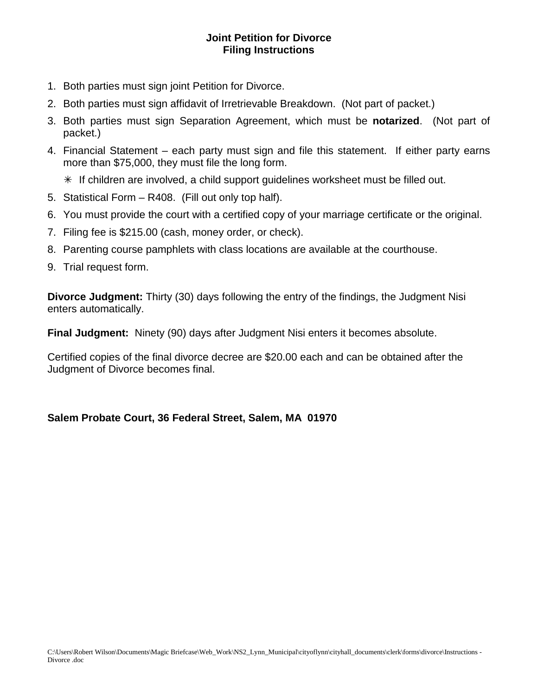## **Joint Petition for Divorce Filing Instructions**

- 1. Both parties must sign joint Petition for Divorce.
- 2. Both parties must sign affidavit of Irretrievable Breakdown. (Not part of packet.)
- 3. Both parties must sign Separation Agreement, which must be **notarized**. (Not part of packet.)
- 4. Financial Statement each party must sign and file this statement. If either party earns more than \$75,000, they must file the long form.
	- $*$  If children are involved, a child support guidelines worksheet must be filled out.
- 5. Statistical Form R408. (Fill out only top half).
- 6. You must provide the court with a certified copy of your marriage certificate or the original.
- 7. Filing fee is \$215.00 (cash, money order, or check).
- 8. Parenting course pamphlets with class locations are available at the courthouse.
- 9. Trial request form.

**Divorce Judgment:** Thirty (30) days following the entry of the findings, the Judgment Nisi enters automatically.

**Final Judgment:** Ninety (90) days after Judgment Nisi enters it becomes absolute.

Certified copies of the final divorce decree are \$20.00 each and can be obtained after the Judgment of Divorce becomes final.

## **Salem Probate Court, 36 Federal Street, Salem, MA 01970**